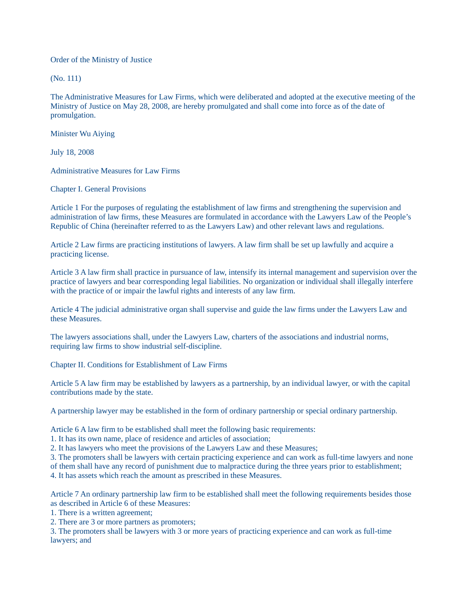Order of the Ministry of Justice

(No. 111)

The Administrative Measures for Law Firms, which were deliberated and adopted at the executive meeting of the Ministry of Justice on May 28, 2008, are hereby promulgated and shall come into force as of the date of promulgation.

Minister Wu Aiying

July 18, 2008

Administrative Measures for Law Firms

Chapter I. General Provisions

Article 1 For the purposes of regulating the establishment of law firms and strengthening the supervision and administration of law firms, these Measures are formulated in accordance with the Lawyers Law of the People's Republic of China (hereinafter referred to as the Lawyers Law) and other relevant laws and regulations.

Article 2 Law firms are practicing institutions of lawyers. A law firm shall be set up lawfully and acquire a practicing license.

Article 3 A law firm shall practice in pursuance of law, intensify its internal management and supervision over the practice of lawyers and bear corresponding legal liabilities. No organization or individual shall illegally interfere with the practice of or impair the lawful rights and interests of any law firm.

Article 4 The judicial administrative organ shall supervise and guide the law firms under the Lawyers Law and these Measures.

The lawyers associations shall, under the Lawyers Law, charters of the associations and industrial norms, requiring law firms to show industrial self-discipline.

Chapter II. Conditions for Establishment of Law Firms

Article 5 A law firm may be established by lawyers as a partnership, by an individual lawyer, or with the capital contributions made by the state.

A partnership lawyer may be established in the form of ordinary partnership or special ordinary partnership.

Article 6 A law firm to be established shall meet the following basic requirements:

1. It has its own name, place of residence and articles of association;

2. It has lawyers who meet the provisions of the Lawyers Law and these Measures;

3. The promoters shall be lawyers with certain practicing experience and can work as full-time lawyers and none

of them shall have any record of punishment due to malpractice during the three years prior to establishment;

4. It has assets which reach the amount as prescribed in these Measures.

Article 7 An ordinary partnership law firm to be established shall meet the following requirements besides those as described in Article 6 of these Measures:

1. There is a written agreement;

2. There are 3 or more partners as promoters;

3. The promoters shall be lawyers with 3 or more years of practicing experience and can work as full-time lawyers; and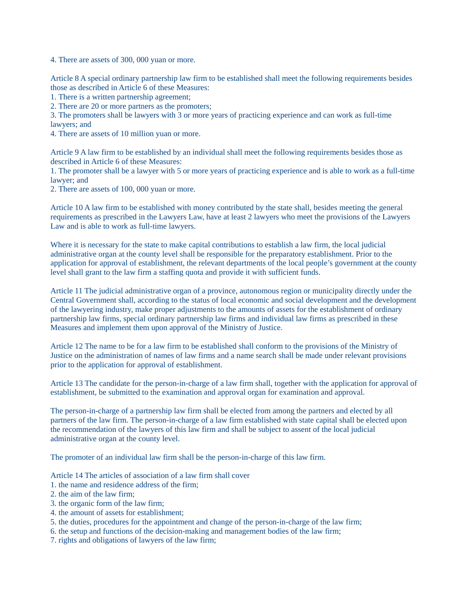4. There are assets of 300, 000 yuan or more.

Article 8 A special ordinary partnership law firm to be established shall meet the following requirements besides those as described in Article 6 of these Measures:

1. There is a written partnership agreement;

2. There are 20 or more partners as the promoters;

3. The promoters shall be lawyers with 3 or more years of practicing experience and can work as full-time lawyers; and

4. There are assets of 10 million yuan or more.

Article 9 A law firm to be established by an individual shall meet the following requirements besides those as described in Article 6 of these Measures:

1. The promoter shall be a lawyer with 5 or more years of practicing experience and is able to work as a full-time lawyer; and

2. There are assets of 100, 000 yuan or more.

Article 10 A law firm to be established with money contributed by the state shall, besides meeting the general requirements as prescribed in the Lawyers Law, have at least 2 lawyers who meet the provisions of the Lawyers Law and is able to work as full-time lawyers.

Where it is necessary for the state to make capital contributions to establish a law firm, the local judicial administrative organ at the county level shall be responsible for the preparatory establishment. Prior to the application for approval of establishment, the relevant departments of the local people's government at the county level shall grant to the law firm a staffing quota and provide it with sufficient funds.

Article 11 The judicial administrative organ of a province, autonomous region or municipality directly under the Central Government shall, according to the status of local economic and social development and the development of the lawyering industry, make proper adjustments to the amounts of assets for the establishment of ordinary partnership law firms, special ordinary partnership law firms and individual law firms as prescribed in these Measures and implement them upon approval of the Ministry of Justice.

Article 12 The name to be for a law firm to be established shall conform to the provisions of the Ministry of Justice on the administration of names of law firms and a name search shall be made under relevant provisions prior to the application for approval of establishment.

Article 13 The candidate for the person-in-charge of a law firm shall, together with the application for approval of establishment, be submitted to the examination and approval organ for examination and approval.

The person-in-charge of a partnership law firm shall be elected from among the partners and elected by all partners of the law firm. The person-in-charge of a law firm established with state capital shall be elected upon the recommendation of the lawyers of this law firm and shall be subject to assent of the local judicial administrative organ at the county level.

The promoter of an individual law firm shall be the person-in-charge of this law firm.

Article 14 The articles of association of a law firm shall cover

- 1. the name and residence address of the firm;
- 2. the aim of the law firm;
- 3. the organic form of the law firm;
- 4. the amount of assets for establishment;
- 5. the duties, procedures for the appointment and change of the person-in-charge of the law firm;
- 6. the setup and functions of the decision-making and management bodies of the law firm;
- 7. rights and obligations of lawyers of the law firm;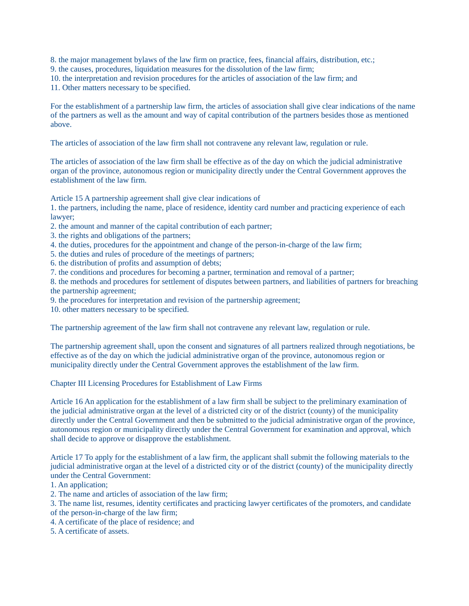8. the major management bylaws of the law firm on practice, fees, financial affairs, distribution, etc.;

- 9. the causes, procedures, liquidation measures for the dissolution of the law firm;
- 10. the interpretation and revision procedures for the articles of association of the law firm; and

11. Other matters necessary to be specified.

For the establishment of a partnership law firm, the articles of association shall give clear indications of the name of the partners as well as the amount and way of capital contribution of the partners besides those as mentioned above.

The articles of association of the law firm shall not contravene any relevant law, regulation or rule.

The articles of association of the law firm shall be effective as of the day on which the judicial administrative organ of the province, autonomous region or municipality directly under the Central Government approves the establishment of the law firm.

Article 15 A partnership agreement shall give clear indications of

1. the partners, including the name, place of residence, identity card number and practicing experience of each lawyer;

- 2. the amount and manner of the capital contribution of each partner;
- 3. the rights and obligations of the partners;
- 4. the duties, procedures for the appointment and change of the person-in-charge of the law firm;
- 5. the duties and rules of procedure of the meetings of partners;
- 6. the distribution of profits and assumption of debts;
- 7. the conditions and procedures for becoming a partner, termination and removal of a partner;

8. the methods and procedures for settlement of disputes between partners, and liabilities of partners for breaching the partnership agreement;

9. the procedures for interpretation and revision of the partnership agreement;

10. other matters necessary to be specified.

The partnership agreement of the law firm shall not contravene any relevant law, regulation or rule.

The partnership agreement shall, upon the consent and signatures of all partners realized through negotiations, be effective as of the day on which the judicial administrative organ of the province, autonomous region or municipality directly under the Central Government approves the establishment of the law firm.

Chapter III Licensing Procedures for Establishment of Law Firms

Article 16 An application for the establishment of a law firm shall be subject to the preliminary examination of the judicial administrative organ at the level of a districted city or of the district (county) of the municipality directly under the Central Government and then be submitted to the judicial administrative organ of the province, autonomous region or municipality directly under the Central Government for examination and approval, which shall decide to approve or disapprove the establishment.

Article 17 To apply for the establishment of a law firm, the applicant shall submit the following materials to the judicial administrative organ at the level of a districted city or of the district (county) of the municipality directly under the Central Government:

1. An application;

- 2. The name and articles of association of the law firm;
- 3. The name list, resumes, identity certificates and practicing lawyer certificates of the promoters, and candidate of the person-in-charge of the law firm;
- 
- 4. A certificate of the place of residence; and
- 5. A certificate of assets.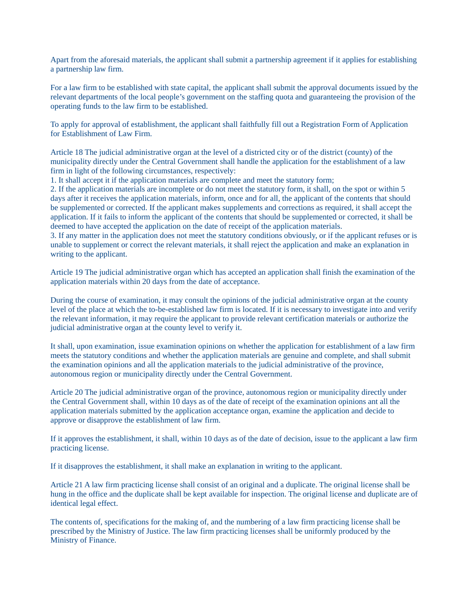Apart from the aforesaid materials, the applicant shall submit a partnership agreement if it applies for establishing a partnership law firm.

For a law firm to be established with state capital, the applicant shall submit the approval documents issued by the relevant departments of the local people's government on the staffing quota and guaranteeing the provision of the operating funds to the law firm to be established.

To apply for approval of establishment, the applicant shall faithfully fill out a Registration Form of Application for Establishment of Law Firm.

Article 18 The judicial administrative organ at the level of a districted city or of the district (county) of the municipality directly under the Central Government shall handle the application for the establishment of a law firm in light of the following circumstances, respectively:

1. It shall accept it if the application materials are complete and meet the statutory form;

2. If the application materials are incomplete or do not meet the statutory form, it shall, on the spot or within 5 days after it receives the application materials, inform, once and for all, the applicant of the contents that should be supplemented or corrected. If the applicant makes supplements and corrections as required, it shall accept the application. If it fails to inform the applicant of the contents that should be supplemented or corrected, it shall be deemed to have accepted the application on the date of receipt of the application materials.

3. If any matter in the application does not meet the statutory conditions obviously, or if the applicant refuses or is unable to supplement or correct the relevant materials, it shall reject the application and make an explanation in writing to the applicant.

Article 19 The judicial administrative organ which has accepted an application shall finish the examination of the application materials within 20 days from the date of acceptance.

During the course of examination, it may consult the opinions of the judicial administrative organ at the county level of the place at which the to-be-established law firm is located. If it is necessary to investigate into and verify the relevant information, it may require the applicant to provide relevant certification materials or authorize the judicial administrative organ at the county level to verify it.

It shall, upon examination, issue examination opinions on whether the application for establishment of a law firm meets the statutory conditions and whether the application materials are genuine and complete, and shall submit the examination opinions and all the application materials to the judicial administrative of the province, autonomous region or municipality directly under the Central Government.

Article 20 The judicial administrative organ of the province, autonomous region or municipality directly under the Central Government shall, within 10 days as of the date of receipt of the examination opinions ant all the application materials submitted by the application acceptance organ, examine the application and decide to approve or disapprove the establishment of law firm.

If it approves the establishment, it shall, within 10 days as of the date of decision, issue to the applicant a law firm practicing license.

If it disapproves the establishment, it shall make an explanation in writing to the applicant.

Article 21 A law firm practicing license shall consist of an original and a duplicate. The original license shall be hung in the office and the duplicate shall be kept available for inspection. The original license and duplicate are of identical legal effect.

The contents of, specifications for the making of, and the numbering of a law firm practicing license shall be prescribed by the Ministry of Justice. The law firm practicing licenses shall be uniformly produced by the Ministry of Finance.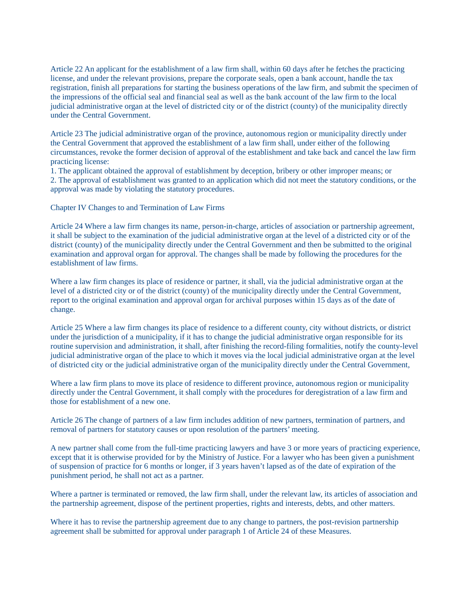Article 22 An applicant for the establishment of a law firm shall, within 60 days after he fetches the practicing license, and under the relevant provisions, prepare the corporate seals, open a bank account, handle the tax registration, finish all preparations for starting the business operations of the law firm, and submit the specimen of the impressions of the official seal and financial seal as well as the bank account of the law firm to the local judicial administrative organ at the level of districted city or of the district (county) of the municipality directly under the Central Government.

Article 23 The judicial administrative organ of the province, autonomous region or municipality directly under the Central Government that approved the establishment of a law firm shall, under either of the following circumstances, revoke the former decision of approval of the establishment and take back and cancel the law firm practicing license:

1. The applicant obtained the approval of establishment by deception, bribery or other improper means; or 2. The approval of establishment was granted to an application which did not meet the statutory conditions, or the approval was made by violating the statutory procedures.

Chapter IV Changes to and Termination of Law Firms

Article 24 Where a law firm changes its name, person-in-charge, articles of association or partnership agreement, it shall be subject to the examination of the judicial administrative organ at the level of a districted city or of the district (county) of the municipality directly under the Central Government and then be submitted to the original examination and approval organ for approval. The changes shall be made by following the procedures for the establishment of law firms.

Where a law firm changes its place of residence or partner, it shall, via the judicial administrative organ at the level of a districted city or of the district (county) of the municipality directly under the Central Government, report to the original examination and approval organ for archival purposes within 15 days as of the date of change.

Article 25 Where a law firm changes its place of residence to a different county, city without districts, or district under the jurisdiction of a municipality, if it has to change the judicial administrative organ responsible for its routine supervision and administration, it shall, after finishing the record-filing formalities, notify the county-level judicial administrative organ of the place to which it moves via the local judicial administrative organ at the level of districted city or the judicial administrative organ of the municipality directly under the Central Government,

Where a law firm plans to move its place of residence to different province, autonomous region or municipality directly under the Central Government, it shall comply with the procedures for deregistration of a law firm and those for establishment of a new one.

Article 26 The change of partners of a law firm includes addition of new partners, termination of partners, and removal of partners for statutory causes or upon resolution of the partners' meeting.

A new partner shall come from the full-time practicing lawyers and have 3 or more years of practicing experience, except that it is otherwise provided for by the Ministry of Justice. For a lawyer who has been given a punishment of suspension of practice for 6 months or longer, if 3 years haven't lapsed as of the date of expiration of the punishment period, he shall not act as a partner.

Where a partner is terminated or removed, the law firm shall, under the relevant law, its articles of association and the partnership agreement, dispose of the pertinent properties, rights and interests, debts, and other matters.

Where it has to revise the partnership agreement due to any change to partners, the post-revision partnership agreement shall be submitted for approval under paragraph 1 of Article 24 of these Measures.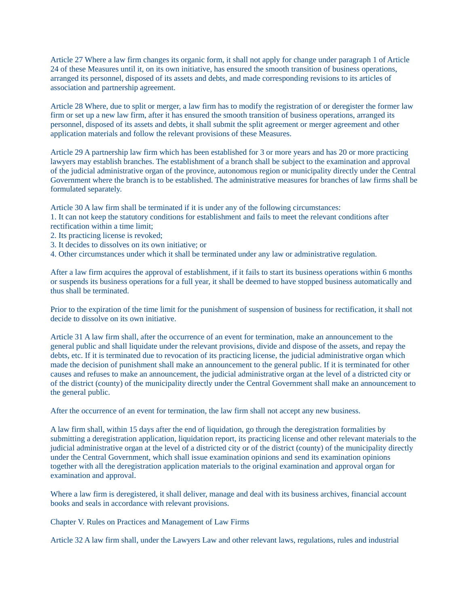Article 27 Where a law firm changes its organic form, it shall not apply for change under paragraph 1 of Article 24 of these Measures until it, on its own initiative, has ensured the smooth transition of business operations, arranged its personnel, disposed of its assets and debts, and made corresponding revisions to its articles of association and partnership agreement.

Article 28 Where, due to split or merger, a law firm has to modify the registration of or deregister the former law firm or set up a new law firm, after it has ensured the smooth transition of business operations, arranged its personnel, disposed of its assets and debts, it shall submit the split agreement or merger agreement and other application materials and follow the relevant provisions of these Measures.

Article 29 A partnership law firm which has been established for 3 or more years and has 20 or more practicing lawyers may establish branches. The establishment of a branch shall be subject to the examination and approval of the judicial administrative organ of the province, autonomous region or municipality directly under the Central Government where the branch is to be established. The administrative measures for branches of law firms shall be formulated separately.

Article 30 A law firm shall be terminated if it is under any of the following circumstances:

- 1. It can not keep the statutory conditions for establishment and fails to meet the relevant conditions after rectification within a time limit;
- 2. Its practicing license is revoked;
- 3. It decides to dissolves on its own initiative; or
- 4. Other circumstances under which it shall be terminated under any law or administrative regulation.

After a law firm acquires the approval of establishment, if it fails to start its business operations within 6 months or suspends its business operations for a full year, it shall be deemed to have stopped business automatically and thus shall be terminated.

Prior to the expiration of the time limit for the punishment of suspension of business for rectification, it shall not decide to dissolve on its own initiative.

Article 31 A law firm shall, after the occurrence of an event for termination, make an announcement to the general public and shall liquidate under the relevant provisions, divide and dispose of the assets, and repay the debts, etc. If it is terminated due to revocation of its practicing license, the judicial administrative organ which made the decision of punishment shall make an announcement to the general public. If it is terminated for other causes and refuses to make an announcement, the judicial administrative organ at the level of a districted city or of the district (county) of the municipality directly under the Central Government shall make an announcement to the general public.

After the occurrence of an event for termination, the law firm shall not accept any new business.

A law firm shall, within 15 days after the end of liquidation, go through the deregistration formalities by submitting a deregistration application, liquidation report, its practicing license and other relevant materials to the judicial administrative organ at the level of a districted city or of the district (county) of the municipality directly under the Central Government, which shall issue examination opinions and send its examination opinions together with all the deregistration application materials to the original examination and approval organ for examination and approval.

Where a law firm is deregistered, it shall deliver, manage and deal with its business archives, financial account books and seals in accordance with relevant provisions.

Chapter V. Rules on Practices and Management of Law Firms

Article 32 A law firm shall, under the Lawyers Law and other relevant laws, regulations, rules and industrial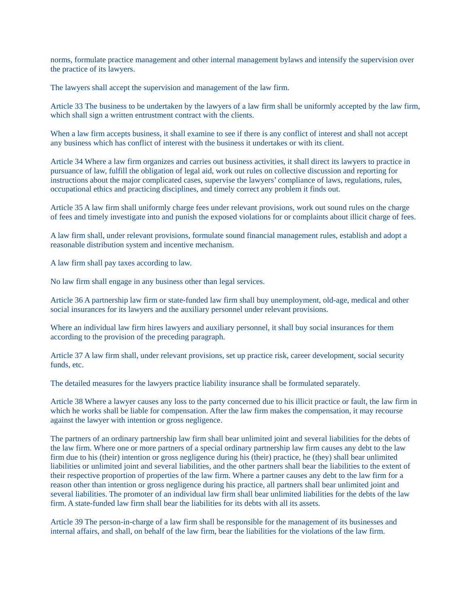norms, formulate practice management and other internal management bylaws and intensify the supervision over the practice of its lawyers.

The lawyers shall accept the supervision and management of the law firm.

Article 33 The business to be undertaken by the lawyers of a law firm shall be uniformly accepted by the law firm, which shall sign a written entrustment contract with the clients.

When a law firm accepts business, it shall examine to see if there is any conflict of interest and shall not accept any business which has conflict of interest with the business it undertakes or with its client.

Article 34 Where a law firm organizes and carries out business activities, it shall direct its lawyers to practice in pursuance of law, fulfill the obligation of legal aid, work out rules on collective discussion and reporting for instructions about the major complicated cases, supervise the lawyers' compliance of laws, regulations, rules, occupational ethics and practicing disciplines, and timely correct any problem it finds out.

Article 35 A law firm shall uniformly charge fees under relevant provisions, work out sound rules on the charge of fees and timely investigate into and punish the exposed violations for or complaints about illicit charge of fees.

A law firm shall, under relevant provisions, formulate sound financial management rules, establish and adopt a reasonable distribution system and incentive mechanism.

A law firm shall pay taxes according to law.

No law firm shall engage in any business other than legal services.

Article 36 A partnership law firm or state-funded law firm shall buy unemployment, old-age, medical and other social insurances for its lawyers and the auxiliary personnel under relevant provisions.

Where an individual law firm hires lawyers and auxiliary personnel, it shall buy social insurances for them according to the provision of the preceding paragraph.

Article 37 A law firm shall, under relevant provisions, set up practice risk, career development, social security funds, etc.

The detailed measures for the lawyers practice liability insurance shall be formulated separately.

Article 38 Where a lawyer causes any loss to the party concerned due to his illicit practice or fault, the law firm in which he works shall be liable for compensation. After the law firm makes the compensation, it may recourse against the lawyer with intention or gross negligence.

The partners of an ordinary partnership law firm shall bear unlimited joint and several liabilities for the debts of the law firm. Where one or more partners of a special ordinary partnership law firm causes any debt to the law firm due to his (their) intention or gross negligence during his (their) practice, he (they) shall bear unlimited liabilities or unlimited joint and several liabilities, and the other partners shall bear the liabilities to the extent of their respective proportion of properties of the law firm. Where a partner causes any debt to the law firm for a reason other than intention or gross negligence during his practice, all partners shall bear unlimited joint and several liabilities. The promoter of an individual law firm shall bear unlimited liabilities for the debts of the law firm. A state-funded law firm shall bear the liabilities for its debts with all its assets.

Article 39 The person-in-charge of a law firm shall be responsible for the management of its businesses and internal affairs, and shall, on behalf of the law firm, bear the liabilities for the violations of the law firm.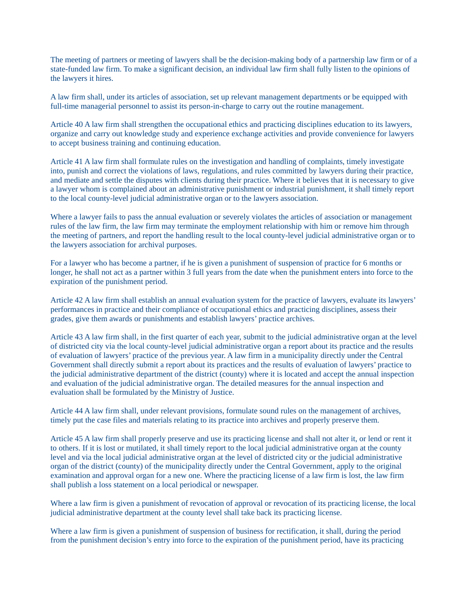The meeting of partners or meeting of lawyers shall be the decision-making body of a partnership law firm or of a state-funded law firm. To make a significant decision, an individual law firm shall fully listen to the opinions of the lawyers it hires.

A law firm shall, under its articles of association, set up relevant management departments or be equipped with full-time managerial personnel to assist its person-in-charge to carry out the routine management.

Article 40 A law firm shall strengthen the occupational ethics and practicing disciplines education to its lawyers, organize and carry out knowledge study and experience exchange activities and provide convenience for lawyers to accept business training and continuing education.

Article 41 A law firm shall formulate rules on the investigation and handling of complaints, timely investigate into, punish and correct the violations of laws, regulations, and rules committed by lawyers during their practice, and mediate and settle the disputes with clients during their practice. Where it believes that it is necessary to give a lawyer whom is complained about an administrative punishment or industrial punishment, it shall timely report to the local county-level judicial administrative organ or to the lawyers association.

Where a lawyer fails to pass the annual evaluation or severely violates the articles of association or management rules of the law firm, the law firm may terminate the employment relationship with him or remove him through the meeting of partners, and report the handling result to the local county-level judicial administrative organ or to the lawyers association for archival purposes.

For a lawyer who has become a partner, if he is given a punishment of suspension of practice for 6 months or longer, he shall not act as a partner within 3 full years from the date when the punishment enters into force to the expiration of the punishment period.

Article 42 A law firm shall establish an annual evaluation system for the practice of lawyers, evaluate its lawyers' performances in practice and their compliance of occupational ethics and practicing disciplines, assess their grades, give them awards or punishments and establish lawyers' practice archives.

Article 43 A law firm shall, in the first quarter of each year, submit to the judicial administrative organ at the level of districted city via the local county-level judicial administrative organ a report about its practice and the results of evaluation of lawyers' practice of the previous year. A law firm in a municipality directly under the Central Government shall directly submit a report about its practices and the results of evaluation of lawyers' practice to the judicial administrative department of the district (county) where it is located and accept the annual inspection and evaluation of the judicial administrative organ. The detailed measures for the annual inspection and evaluation shall be formulated by the Ministry of Justice.

Article 44 A law firm shall, under relevant provisions, formulate sound rules on the management of archives, timely put the case files and materials relating to its practice into archives and properly preserve them.

Article 45 A law firm shall properly preserve and use its practicing license and shall not alter it, or lend or rent it to others. If it is lost or mutilated, it shall timely report to the local judicial administrative organ at the county level and via the local judicial administrative organ at the level of districted city or the judicial administrative organ of the district (county) of the municipality directly under the Central Government, apply to the original examination and approval organ for a new one. Where the practicing license of a law firm is lost, the law firm shall publish a loss statement on a local periodical or newspaper.

Where a law firm is given a punishment of revocation of approval or revocation of its practicing license, the local judicial administrative department at the county level shall take back its practicing license.

Where a law firm is given a punishment of suspension of business for rectification, it shall, during the period from the punishment decision's entry into force to the expiration of the punishment period, have its practicing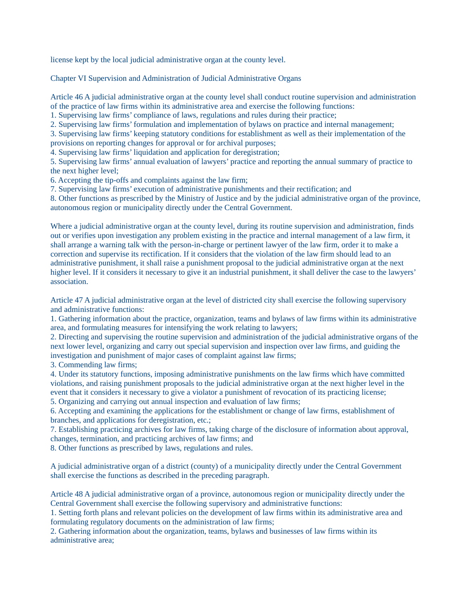license kept by the local judicial administrative organ at the county level.

Chapter VI Supervision and Administration of Judicial Administrative Organs

Article 46 A judicial administrative organ at the county level shall conduct routine supervision and administration of the practice of law firms within its administrative area and exercise the following functions:

1. Supervising law firms' compliance of laws, regulations and rules during their practice;

2. Supervising law firms' formulation and implementation of bylaws on practice and internal management;

3. Supervising law firms' keeping statutory conditions for establishment as well as their implementation of the provisions on reporting changes for approval or for archival purposes;

4. Supervising law firms' liquidation and application for deregistration;

5. Supervising law firms' annual evaluation of lawyers' practice and reporting the annual summary of practice to the next higher level;

6. Accepting the tip-offs and complaints against the law firm;

7. Supervising law firms' execution of administrative punishments and their rectification; and

8. Other functions as prescribed by the Ministry of Justice and by the judicial administrative organ of the province, autonomous region or municipality directly under the Central Government.

Where a judicial administrative organ at the county level, during its routine supervision and administration, finds out or verifies upon investigation any problem existing in the practice and internal management of a law firm, it shall arrange a warning talk with the person-in-charge or pertinent lawyer of the law firm, order it to make a correction and supervise its rectification. If it considers that the violation of the law firm should lead to an administrative punishment, it shall raise a punishment proposal to the judicial administrative organ at the next higher level. If it considers it necessary to give it an industrial punishment, it shall deliver the case to the lawyers' association.

Article 47 A judicial administrative organ at the level of districted city shall exercise the following supervisory and administrative functions:

1. Gathering information about the practice, organization, teams and bylaws of law firms within its administrative area, and formulating measures for intensifying the work relating to lawyers;

2. Directing and supervising the routine supervision and administration of the judicial administrative organs of the next lower level, organizing and carry out special supervision and inspection over law firms, and guiding the investigation and punishment of major cases of complaint against law firms;

3. Commending law firms;

4. Under its statutory functions, imposing administrative punishments on the law firms which have committed violations, and raising punishment proposals to the judicial administrative organ at the next higher level in the event that it considers it necessary to give a violator a punishment of revocation of its practicing license;

5. Organizing and carrying out annual inspection and evaluation of law firms;

6. Accepting and examining the applications for the establishment or change of law firms, establishment of branches, and applications for deregistration, etc.;

7. Establishing practicing archives for law firms, taking charge of the disclosure of information about approval, changes, termination, and practicing archives of law firms; and

8. Other functions as prescribed by laws, regulations and rules.

A judicial administrative organ of a district (county) of a municipality directly under the Central Government shall exercise the functions as described in the preceding paragraph.

Article 48 A judicial administrative organ of a province, autonomous region or municipality directly under the Central Government shall exercise the following supervisory and administrative functions:

1. Setting forth plans and relevant policies on the development of law firms within its administrative area and formulating regulatory documents on the administration of law firms;

2. Gathering information about the organization, teams, bylaws and businesses of law firms within its administrative area;